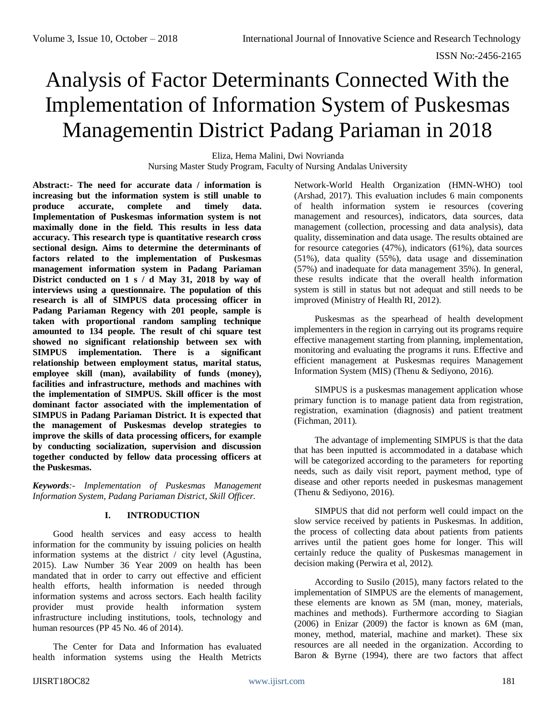# Analysis of Factor Determinants Connected With the Implementation of Information System of Puskesmas Managementin District Padang Pariaman in 2018

Eliza, Hema Malini, Dwi Novrianda Nursing Master Study Program, Faculty of Nursing Andalas University

**Abstract:- The need for accurate data / information is increasing but the information system is still unable to produce accurate, complete and timely data. Implementation of Puskesmas information system is not maximally done in the field. This results in less data accuracy. This research type is quantitative research cross sectional design. Aims to determine the determinants of factors related to the implementation of Puskesmas management information system in Padang Pariaman District conducted on 1 s / d May 31, 2018 by way of interviews using a questionnaire. The population of this research is all of SIMPUS data processing officer in Padang Pariaman Regency with 201 people, sample is taken with proportional random sampling technique amounted to 134 people. The result of chi square test showed no significant relationship between sex with SIMPUS implementation. There is a significant relationship between employment status, marital status, employee skill (man), availability of funds (money), facilities and infrastructure, methods and machines with the implementation of SIMPUS. Skill officer is the most dominant factor associated with the implementation of SIMPUS in Padang Pariaman District. It is expected that the management of Puskesmas develop strategies to improve the skills of data processing officers, for example by conducting socialization, supervision and discussion together conducted by fellow data processing officers at the Puskesmas.**

*Keywords:- Implementation of Puskesmas Management Information System, Padang Pariaman District, Skill Officer.*

# **I. INTRODUCTION**

Good health services and easy access to health information for the community by issuing policies on health information systems at the district / city level (Agustina, 2015). Law Number 36 Year 2009 on health has been mandated that in order to carry out effective and efficient health efforts, health information is needed through information systems and across sectors. Each health facility provider must provide health information system infrastructure including institutions, tools, technology and human resources (PP 45 No. 46 of 2014).

The Center for Data and Information has evaluated health information systems using the Health Metricts

Network-World Health Organization (HMN-WHO) tool (Arshad, 2017). This evaluation includes 6 main components of health information system ie resources (covering management and resources), indicators, data sources, data management (collection, processing and data analysis), data quality, dissemination and data usage. The results obtained are for resource categories (47%), indicators (61%), data sources (51%), data quality (55%), data usage and dissemination (57%) and inadequate for data management 35%). In general, these results indicate that the overall health information system is still in status but not adequat and still needs to be improved (Ministry of Health RI, 2012).

Puskesmas as the spearhead of health development implementers in the region in carrying out its programs require effective management starting from planning, implementation, monitoring and evaluating the programs it runs. Effective and efficient management at Puskesmas requires Management Information System (MIS) (Thenu & Sediyono, 2016).

SIMPUS is a puskesmas management application whose primary function is to manage patient data from registration, registration, examination (diagnosis) and patient treatment (Fichman, 2011).

The advantage of implementing SIMPUS is that the data that has been inputted is accommodated in a database which will be categorized according to the parameters for reporting needs, such as daily visit report, payment method, type of disease and other reports needed in puskesmas management (Thenu & Sediyono, 2016).

SIMPUS that did not perform well could impact on the slow service received by patients in Puskesmas. In addition, the process of collecting data about patients from patients arrives until the patient goes home for longer. This will certainly reduce the quality of Puskesmas management in decision making (Perwira et al, 2012).

According to Susilo (2015), many factors related to the implementation of SIMPUS are the elements of management, these elements are known as 5M (man, money, materials, machines and methods). Furthermore according to Siagian (2006) in Enizar (2009) the factor is known as 6M (man, money, method, material, machine and market). These six resources are all needed in the organization. According to Baron & Byrne (1994), there are two factors that affect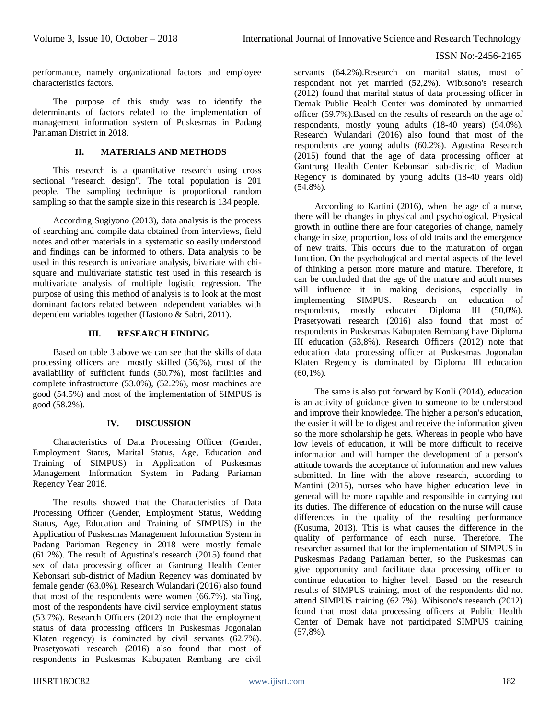performance, namely organizational factors and employee characteristics factors.

The purpose of this study was to identify the determinants of factors related to the implementation of management information system of Puskesmas in Padang Pariaman District in 2018.

# **II. MATERIALS AND METHODS**

This research is a quantitative research using cross sectional "research design". The total population is 201 people. The sampling technique is proportional random sampling so that the sample size in this research is 134 people.

According Sugiyono (2013), data analysis is the process of searching and compile data obtained from interviews, field notes and other materials in a systematic so easily understood and findings can be informed to others. Data analysis to be used in this research is univariate analysis, bivariate with chisquare and multivariate statistic test used in this research is multivariate analysis of multiple logistic regression. The purpose of using this method of analysis is to look at the most dominant factors related between independent variables with dependent variables together (Hastono & Sabri, 2011).

#### **III. RESEARCH FINDING**

Based on table 3 above we can see that the skills of data processing officers are mostly skilled (56,%), most of the availability of sufficient funds (50.7%), most facilities and complete infrastructure (53.0%), (52.2%), most machines are good (54.5%) and most of the implementation of SIMPUS is good (58.2%).

# **IV. DISCUSSION**

Characteristics of Data Processing Officer (Gender, Employment Status, Marital Status, Age, Education and Training of SIMPUS) in Application of Puskesmas Management Information System in Padang Pariaman Regency Year 2018.

The results showed that the Characteristics of Data Processing Officer (Gender, Employment Status, Wedding Status, Age, Education and Training of SIMPUS) in the Application of Puskesmas Management Information System in Padang Pariaman Regency in 2018 were mostly female (61.2%). The result of Agustina's research (2015) found that sex of data processing officer at Gantrung Health Center Kebonsari sub-district of Madiun Regency was dominated by female gender (63.0%). Research Wulandari (2016) also found that most of the respondents were women (66.7%). staffing, most of the respondents have civil service employment status (53.7%). Research Officers (2012) note that the employment status of data processing officers in Puskesmas Jogonalan Klaten regency) is dominated by civil servants (62.7%). Prasetyowati research (2016) also found that most of respondents in Puskesmas Kabupaten Rembang are civil

servants (64.2%).Research on marital status, most of respondent not yet married (52,2%). Wibisono's research (2012) found that marital status of data processing officer in Demak Public Health Center was dominated by unmarried officer (59.7%).Based on the results of research on the age of respondents, mostly young adults (18-40 years) (94.0%). Research Wulandari (2016) also found that most of the respondents are young adults (60.2%). Agustina Research (2015) found that the age of data processing officer at Gantrung Health Center Kebonsari sub-district of Madiun Regency is dominated by young adults (18-40 years old)  $(54.8\%)$ .

According to Kartini (2016), when the age of a nurse, there will be changes in physical and psychological. Physical growth in outline there are four categories of change, namely change in size, proportion, loss of old traits and the emergence of new traits. This occurs due to the maturation of organ function. On the psychological and mental aspects of the level of thinking a person more mature and mature. Therefore, it can be concluded that the age of the mature and adult nurses will influence it in making decisions, especially in implementing SIMPUS. Research on education of respondents, mostly educated Diploma III (50,0%). Prasetyowati research (2016) also found that most of respondents in Puskesmas Kabupaten Rembang have Diploma III education (53,8%). Research Officers (2012) note that education data processing officer at Puskesmas Jogonalan Klaten Regency is dominated by Diploma III education  $(60.1\%)$ .

The same is also put forward by Konli (2014), education is an activity of guidance given to someone to be understood and improve their knowledge. The higher a person's education, the easier it will be to digest and receive the information given so the more scholarship he gets. Whereas in people who have low levels of education, it will be more difficult to receive information and will hamper the development of a person's attitude towards the acceptance of information and new values submitted. In line with the above research, according to Mantini (2015), nurses who have higher education level in general will be more capable and responsible in carrying out its duties. The difference of education on the nurse will cause differences in the quality of the resulting performance (Kusuma, 2013). This is what causes the difference in the quality of performance of each nurse. Therefore. The researcher assumed that for the implementation of SIMPUS in Puskesmas Padang Pariaman better, so the Puskesmas can give opportunity and facilitate data processing officer to continue education to higher level. Based on the research results of SIMPUS training, most of the respondents did not attend SIMPUS training (62.7%). Wibisono's research (2012) found that most data processing officers at Public Health Center of Demak have not participated SIMPUS training  $(57,8\%)$ .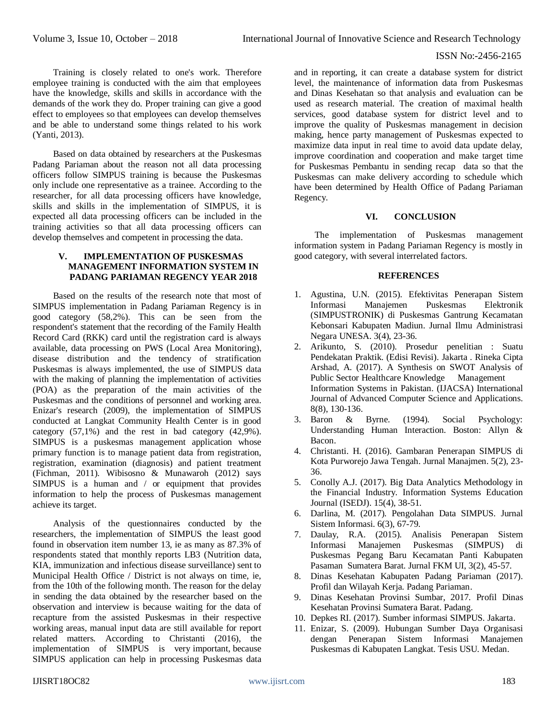#### ISSN No:-2456-2165

Training is closely related to one's work. Therefore employee training is conducted with the aim that employees have the knowledge, skills and skills in accordance with the demands of the work they do. Proper training can give a good effect to employees so that employees can develop themselves and be able to understand some things related to his work (Yanti, 2013).

Based on data obtained by researchers at the Puskesmas Padang Pariaman about the reason not all data processing officers follow SIMPUS training is because the Puskesmas only include one representative as a trainee. According to the researcher, for all data processing officers have knowledge, skills and skills in the implementation of SIMPUS, it is expected all data processing officers can be included in the training activities so that all data processing officers can develop themselves and competent in processing the data.

# **V. IMPLEMENTATION OF PUSKESMAS MANAGEMENT INFORMATION SYSTEM IN PADANG PARIAMAN REGENCY YEAR 2018**

Based on the results of the research note that most of SIMPUS implementation in Padang Pariaman Regency is in good category (58,2%). This can be seen from the respondent's statement that the recording of the Family Health Record Card (RKK) card until the registration card is always available, data processing on PWS (Local Area Monitoring), disease distribution and the tendency of stratification Puskesmas is always implemented, the use of SIMPUS data with the making of planning the implementation of activities (POA) as the preparation of the main activities of the Puskesmas and the conditions of personnel and working area. Enizar's research (2009), the implementation of SIMPUS conducted at Langkat Community Health Center is in good category  $(57.1\%)$  and the rest in bad category  $(42.9\%)$ . SIMPUS is a puskesmas management application whose primary function is to manage patient data from registration, registration, examination (diagnosis) and patient treatment (Fichman, 2011). Wibisosno & Munawaroh (2012) says SIMPUS is a human and / or equipment that provides information to help the process of Puskesmas management achieve its target.

Analysis of the questionnaires conducted by the researchers, the implementation of SIMPUS the least good found in observation item number 13, ie as many as 87.3% of respondents stated that monthly reports LB3 (Nutrition data, KIA, immunization and infectious disease surveillance) sent to Municipal Health Office / District is not always on time, ie, from the 10th of the following month. The reason for the delay in sending the data obtained by the researcher based on the observation and interview is because waiting for the data of recapture from the assisted Puskesmas in their respective working areas, manual input data are still available for report related matters. According to Christanti (2016), the implementation of SIMPUS is very important, because SIMPUS application can help in processing Puskesmas data

and in reporting, it can create a database system for district level, the maintenance of information data from Puskesmas and Dinas Kesehatan so that analysis and evaluation can be used as research material. The creation of maximal health services, good database system for district level and to improve the quality of Puskesmas management in decision making, hence party management of Puskesmas expected to maximize data input in real time to avoid data update delay, improve coordination and cooperation and make target time for Puskesmas Pembantu in sending recap data so that the Puskesmas can make delivery according to schedule which have been determined by Health Office of Padang Pariaman Regency.

#### **VI. CONCLUSION**

The implementation of Puskesmas management information system in Padang Pariaman Regency is mostly in good category, with several interrelated factors.

#### **REFERENCES**

- 1. Agustina, U.N. (2015). Efektivitas Penerapan Sistem Informasi Manajemen Puskesmas Elektronik (SIMPUSTRONIK) di Puskesmas Gantrung Kecamatan Kebonsari Kabupaten Madiun. Jurnal Ilmu Administrasi Negara UNESA. 3(4), 23-36.
- 2. Arikunto, S. (2010). Prosedur penelitian : Suatu Pendekatan Praktik. (Edisi Revisi). Jakarta . Rineka Cipta Arshad, A. (2017). A Synthesis on SWOT Analysis of Public Sector Healthcare Knowledge Management Information Systems in Pakistan. (IJACSA) International Journal of Advanced Computer Science and Applications. 8(8), 130-136.
- 3. Baron & Byrne. (1994). Social Psychology: Understanding Human Interaction. Boston: Allyn & Bacon.
- 4. Christanti. H. (2016). Gambaran Penerapan SIMPUS di Kota Purworejo Jawa Tengah. Jurnal Manajmen. 5(2), 23- 36.
- 5. Conolly A.J. (2017). Big Data Analytics Methodology in the Financial Industry. Information Systems Education Journal (ISEDJ). 15(4), 38-51.
- 6. Darlina, M. (2017). Pengolahan Data SIMPUS. Jurnal Sistem Informasi. 6(3), 67-79.
- 7. Daulay, R.A. (2015). Analisis Penerapan Sistem Informasi Manajemen Puskesmas (SIMPUS) di Puskesmas Pegang Baru Kecamatan Panti Kabupaten Pasaman Sumatera Barat. Jurnal FKM UI, 3(2), 45-57.
- 8. Dinas Kesehatan Kabupaten Padang Pariaman (2017). Profil dan Wilayah Kerja. Padang Pariaman.
- 9. Dinas Kesehatan Provinsi Sumbar, 2017. Profil Dinas Kesehatan Provinsi Sumatera Barat. Padang.
- 10. Depkes RI. (2017). Sumber informasi SIMPUS. Jakarta.
- 11. Enizar, S. (2009). Hubungan Sumber Daya Organisasi dengan Penerapan Sistem Informasi Manajemen Puskesmas di Kabupaten Langkat. Tesis USU. Medan.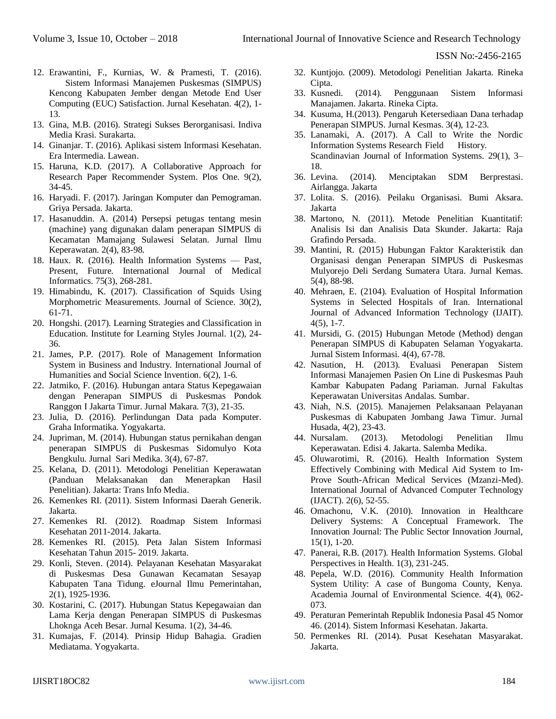ISSN No:-2456-2165

- 12. Erawantini, F., Kurnias, W. & Pramesti, T. (2016). Sistem Informasi Manajemen Puskesmas (SIMPUS) Kencong Kabupaten Jember dengan Metode End User Computing (EUC) Satisfaction. Jurnal Kesehatan. 4(2), 1- 13.
- 13. Gina, M.B. (2016). Strategi Sukses Berorganisasi. Indiva Media Krasi. Surakarta.
- 14. Ginanjar. T. (2016). Aplikasi sistem Informasi Kesehatan. Era Intermedia. Lawean.
- 15. Haruna, K.D. (2017). A Collaborative Approach for Research Paper Recommender System. Plos One. 9(2), 34-45.
- 16. Haryadi. F. (2017). Jaringan Komputer dan Pemograman. Griya Persada. Jakarta.
- 17. Hasanuddin. A. (2014) Persepsi petugas tentang mesin (machine) yang digunakan dalam penerapan SIMPUS di Kecamatan Mamajang Sulawesi Selatan. Jurnal Ilmu Keperawatan. 2(4), 83-98.
- 18. Haux. R. (2016). Health Information Systems Past, Present, Future. International Journal of Medical Informatics. 75(3), 268-281.
- 19. Himabindu, K. (2017). Classification of Squids Using Morphometric Measurements. Journal of Science. 30(2), 61-71.
- 20. Hongshi. (2017). Learning Strategies and Classification in Education. Institute for Learning Styles Journal. 1(2), 24- 36.
- 21. James, P.P. (2017). Role of Management Information System in Business and Industry. International Journal of Humanities and Social Science Invention. 6(2), 1-6.
- 22. Jatmiko, F. (2016). Hubungan antara Status Kepegawaian dengan Penerapan SIMPUS di Puskesmas Pondok Ranggon I Jakarta Timur. Jurnal Makara. 7(3), 21-35.
- 23. Julia, D. (2016). Perlindungan Data pada Komputer. Graha Informatika. Yogyakarta.
- 24. Jupriman, M. (2014). Hubungan status pernikahan dengan penerapan SIMPUS di Puskesmas Sidomulyo Kota Bengkulu. Jurnal Sari Medika. 3(4), 67-87.
- 25. Kelana, D. (2011). Metodologi Penelitian Keperawatan (Panduan Melaksanakan dan Menerapkan Hasil Penelitian). Jakarta: Trans Info Media.
- 26. Kemenkes RI. (2011). Sistem Informasi Daerah Generik. Jakarta.
- 27. Kemenkes RI. (2012). Roadmap Sistem Informasi Kesehatan 2011-2014. Jakarta.
- 28. Kemenkes RI. (2015). Peta Jalan Sistem Informasi Kesehatan Tahun 2015- 2019. Jakarta.
- 29. Konli, Steven. (2014). Pelayanan Kesehatan Masyarakat di Puskesmas Desa Gunawan Kecamatan Sesayap Kabupaten Tana Tidung. eJournal Ilmu Pemerintahan, 2(1), 1925-1936.
- 30. Kostarini, C. (2017). Hubungan Status Kepegawaian dan Lama Kerja dengan Penerapan SIMPUS di Puskesmas Lhoknga Aceh Besar. Jurnal Kesuma. 1(2), 34-46.
- 31. Kumajas, F. (2014). Prinsip Hidup Bahagia. Gradien Mediatama. Yogyakarta.
- 32. Kuntjojo. (2009). Metodologi Penelitian Jakarta. Rineka Cipta.
- 33. Kusnedi. (2014). Penggunaan Sistem Informasi Manajamen. Jakarta. Rineka Cipta.
- 34. Kusuma, H.(2013). Pengaruh Ketersediaan Dana terhadap Penerapan SIMPUS. Jurnal Kesmas. 3(4), 12-23.
- 35. Lanamaki, A. (2017). A Call to Write the Nordic Information Systems Research Field History. Scandinavian Journal of Information Systems. 29(1), 3– 18.
- 36. Levina. (2014). Menciptakan SDM Berprestasi. Airlangga. Jakarta
- 37. Lolita. S. (2016). Peilaku Organisasi. Bumi Aksara. Jakarta
- 38. Martono, N. (2011). Metode Penelitian Kuantitatif: Analisis Isi dan Analisis Data Skunder. Jakarta: Raja Grafindo Persada.
- 39. Mantini, R. (2015) Hubungan Faktor Karakteristik dan Organisasi dengan Penerapan SIMPUS di Puskesmas Mulyorejo Deli Serdang Sumatera Utara. Jurnal Kemas. 5(4), 88-98.
- 40. Mehraen, E. (2104). Evaluation of Hospital Information Systems in Selected Hospitals of Iran. International Journal of Advanced Information Technology (IJAIT). 4(5), 1-7.
- 41. Mursidi, G. (2015) Hubungan Metode (Method) dengan Penerapan SIMPUS di Kabupaten Selaman Yogyakarta. Jurnal Sistem Informasi. 4(4), 67-78.
- 42. Nasution, H. (2013). Evaluasi Penerapan Sistem Informasi Manajemen Pasien On Line di Puskesmas Pauh Kambar Kabupaten Padang Pariaman. Jurnal Fakultas Keperawatan Universitas Andalas. Sumbar.
- 43. Niah, N.S. (2015). Manajemen Pelaksanaan Pelayanan Puskesmas di Kabupaten Jombang Jawa Timur. Jurnal Husada, 4(2), 23-43.
- 44. Nursalam. (2013). Metodologi Penelitian Ilmu Keperawatan. Edisi 4. Jakarta. Salemba Medika.
- 45. Oluwarotimi, R. (2016). Health Information System Effectively Combining with Medical Aid System to Im-Prove South-African Medical Services (Mzanzi-Med). International Journal of Advanced Computer Technology (IJACT). 2(6), 52-55.
- 46. Omachonu, V.K. (2010). Innovation in Healthcare Delivery Systems: A Conceptual Framework. The Innovation Journal: The Public Sector Innovation Journal, 15(1), 1-20.
- 47. Panerai, R.B. (2017). Health Information Systems. Global Perspectives in Health. 1(3), 231-245.
- 48. Pepela, W.D. (2016). Community Health Information System Utility: A case of Bungoma County, Kenya. Academia Journal of Environmental Science. 4(4), 062- 073.
- 49. Peraturan Pemerintah Republik Indonesia Pasal 45 Nomor 46. (2014). Sistem Informasi Kesehatan. Jakarta.
- 50. Permenkes RI. (2014). Pusat Kesehatan Masyarakat. Jakarta.